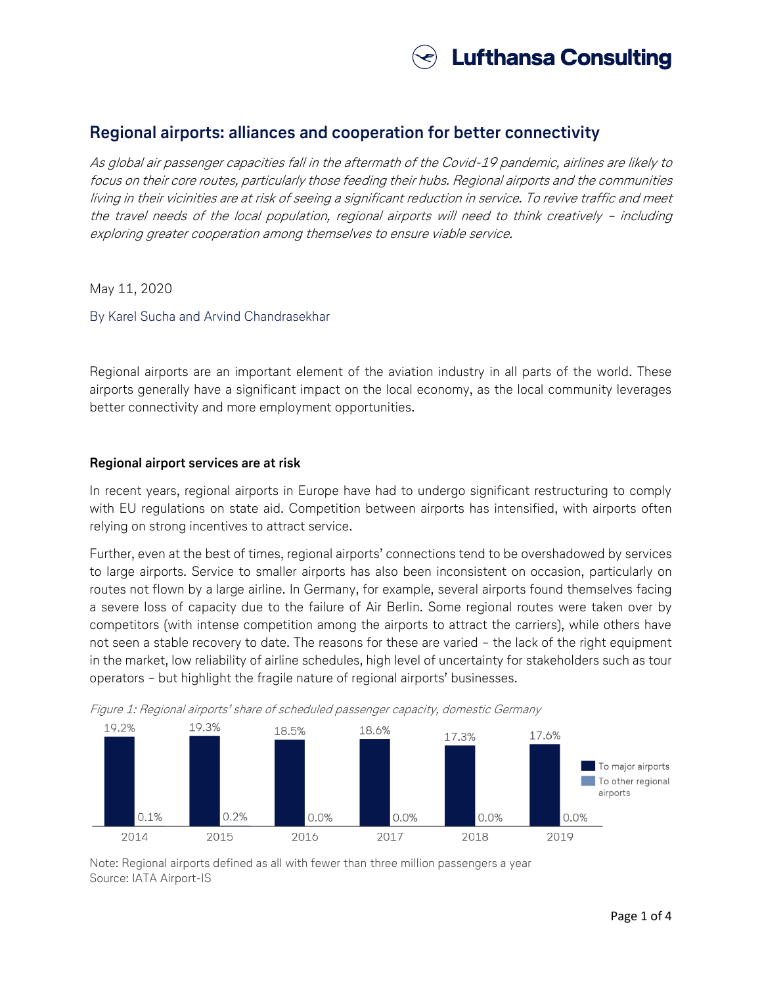

# **Regional airports: alliances and cooperation for better connectivity**

As global air passenger capacities fall in the aftermath of the Covid-19 pandemic, airlines are likely to focus on their core routes, particularly those feeding their hubs. Regional airports and the communities living in their vicinities are at risk of seeing a significant reduction in service. To revive traffic and meet the travel needs of the local population, regional airports will need to think creatively – including exploring greater cooperation among themselves to ensure viable service.

May 11, 2020

By Karel Sucha and Arvind Chandrasekhar

Regional airports are an important element of the aviation industry in all parts of the world. These airports generally have a significant impact on the local economy, as the local community leverages better connectivity and more employment opportunities.

## **Regional airport services are at risk**

In recent years, regional airports in Europe have had to undergo significant restructuring to comply with EU regulations on state aid. Competition between airports has intensified, with airports often relying on strong incentives to attract service.

Further, even at the best of times, regional airports' connections tend to be overshadowed by services to large airports. Service to smaller airports has also been inconsistent on occasion, particularly on routes not flown by a large airline. In Germany, for example, several airports found themselves facing a severe loss of capacity due to the failure of Air Berlin. Some regional routes were taken over by competitors (with intense competition among the airports to attract the carriers), while others have not seen a stable recovery to date. The reasons for these are varied – the lack of the right equipment in the market, low reliability of airline schedules, high level of uncertainty for stakeholders such as tour operators – but highlight the fragile nature of regional airports' businesses.



Figure 1: Regional airports' share of scheduled passenger capacity, domestic Germany

Note: Regional airports defined as all with fewer than three million passengers a year Source: IATA Airport-IS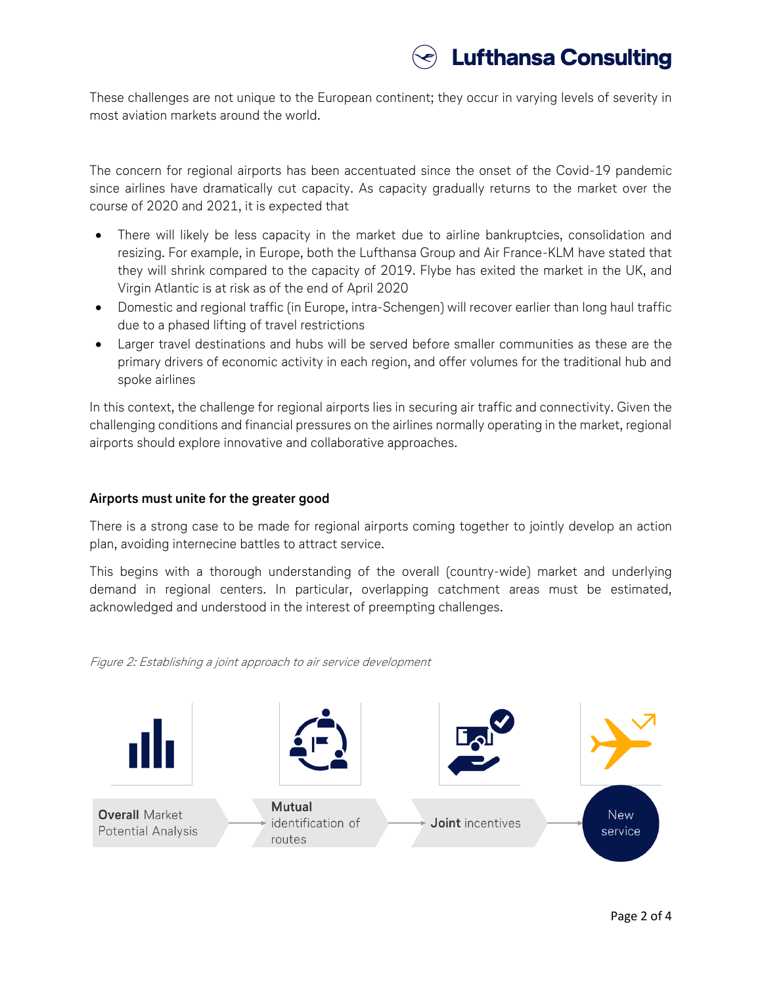These challenges are not unique to the European continent; they occur in varying levels of severity in most aviation markets around the world.

The concern for regional airports has been accentuated since the onset of the Covid-19 pandemic since airlines have dramatically cut capacity. As capacity gradually returns to the market over the course of 2020 and 2021, it is expected that

- There will likely be less capacity in the market due to airline bankruptcies, consolidation and resizing. For example, in Europe, both the Lufthansa Group and Air France-KLM have stated that they will shrink compared to the capacity of 2019. Flybe has exited the market in the UK, and Virgin Atlantic is at risk as of the end of April 2020
- Domestic and regional traffic (in Europe, intra-Schengen) will recover earlier than long haul traffic due to a phased lifting of travel restrictions
- Larger travel destinations and hubs will be served before smaller communities as these are the primary drivers of economic activity in each region, and offer volumes for the traditional hub and spoke airlines

In this context, the challenge for regional airports lies in securing air traffic and connectivity. Given the challenging conditions and financial pressures on the airlines normally operating in the market, regional airports should explore innovative and collaborative approaches.

## **Airports must unite for the greater good**

There is a strong case to be made for regional airports coming together to jointly develop an action plan, avoiding internecine battles to attract service.

This begins with a thorough understanding of the overall (country-wide) market and underlying demand in regional centers. In particular, overlapping catchment areas must be estimated, acknowledged and understood in the interest of preempting challenges.

Figure 2: Establishing a joint approach to air service development

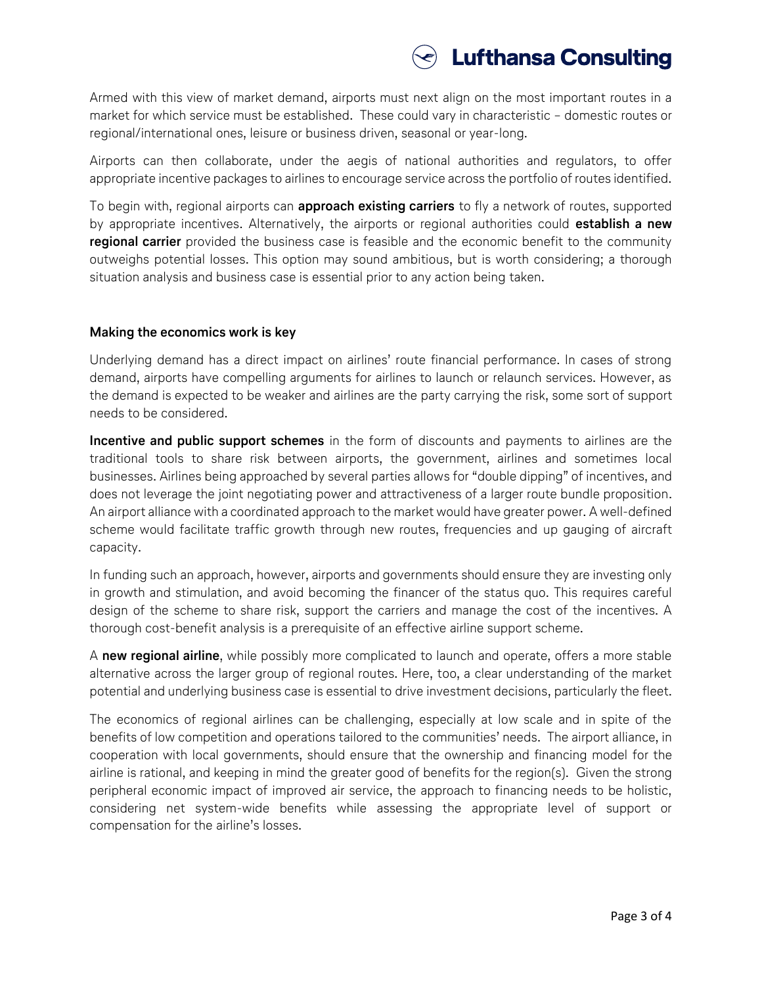

Armed with this view of market demand, airports must next align on the most important routes in a market for which service must be established. These could vary in characteristic – domestic routes or regional/international ones, leisure or business driven, seasonal or year-long.

Airports can then collaborate, under the aegis of national authorities and regulators, to offer appropriate incentive packages to airlines to encourage service across the portfolio of routes identified.

To begin with, regional airports can **approach existing carriers** to fly a network of routes, supported by appropriate incentives. Alternatively, the airports or regional authorities could **establish a new regional carrier** provided the business case is feasible and the economic benefit to the community outweighs potential losses. This option may sound ambitious, but is worth considering; a thorough situation analysis and business case is essential prior to any action being taken.

## **Making the economics work is key**

Underlying demand has a direct impact on airlines' route financial performance. In cases of strong demand, airports have compelling arguments for airlines to launch or relaunch services. However, as the demand is expected to be weaker and airlines are the party carrying the risk, some sort of support needs to be considered.

**Incentive and public support schemes** in the form of discounts and payments to airlines are the traditional tools to share risk between airports, the government, airlines and sometimes local businesses. Airlines being approached by several parties allows for "double dipping" of incentives, and does not leverage the joint negotiating power and attractiveness of a larger route bundle proposition. An airport alliance with a coordinated approach to the market would have greater power. A well-defined scheme would facilitate traffic growth through new routes, frequencies and up gauging of aircraft capacity.

In funding such an approach, however, airports and governments should ensure they are investing only in growth and stimulation, and avoid becoming the financer of the status quo. This requires careful design of the scheme to share risk, support the carriers and manage the cost of the incentives. A thorough cost-benefit analysis is a prerequisite of an effective airline support scheme.

A **new regional airline**, while possibly more complicated to launch and operate, offers a more stable alternative across the larger group of regional routes. Here, too, a clear understanding of the market potential and underlying business case is essential to drive investment decisions, particularly the fleet.

The economics of regional airlines can be challenging, especially at low scale and in spite of the benefits of low competition and operations tailored to the communities' needs. The airport alliance, in cooperation with local governments, should ensure that the ownership and financing model for the airline is rational, and keeping in mind the greater good of benefits for the region(s). Given the strong peripheral economic impact of improved air service, the approach to financing needs to be holistic, considering net system-wide benefits while assessing the appropriate level of support or compensation for the airline's losses.